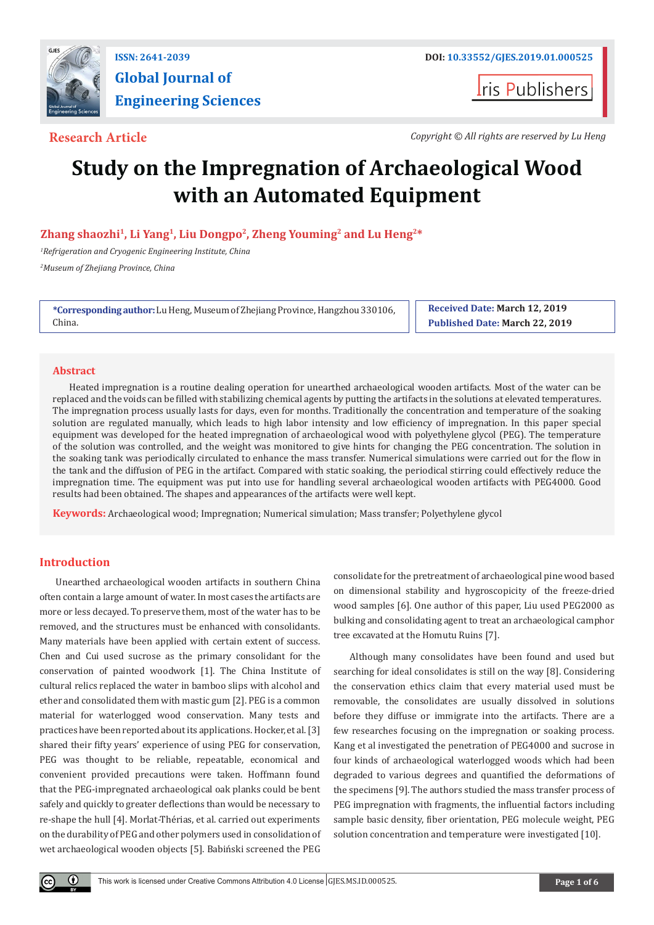

# **Global Journal of Engineering Sciences**

**Iris Publishers** 

**Research Article** *Copyright © All rights are reserved by Lu Heng*

## **Study on the Impregnation of Archaeological Wood with an Automated Equipment**

**Zhang shaozhi1, Li Yang1, Liu Dongpo2, Zheng Youming2 and Lu Heng2\***

*1 Refrigeration and Cryogenic Engineering Institute, China 2 Museum of Zhejiang Province, China*

**\*Corresponding author:** Lu Heng, Museum of Zhejiang Province, Hangzhou 330106, China.

**Received Date: March 12, 2019 Published Date: March 22, 2019**

#### **Abstract**

Heated impregnation is a routine dealing operation for unearthed archaeological wooden artifacts. Most of the water can be replaced and the voids can be filled with stabilizing chemical agents by putting the artifacts in the solutions at elevated temperatures. The impregnation process usually lasts for days, even for months. Traditionally the concentration and temperature of the soaking solution are regulated manually, which leads to high labor intensity and low efficiency of impregnation. In this paper special equipment was developed for the heated impregnation of archaeological wood with polyethylene glycol (PEG). The temperature of the solution was controlled, and the weight was monitored to give hints for changing the PEG concentration. The solution in the soaking tank was periodically circulated to enhance the mass transfer. Numerical simulations were carried out for the flow in the tank and the diffusion of PEG in the artifact. Compared with static soaking, the periodical stirring could effectively reduce the impregnation time. The equipment was put into use for handling several archaeological wooden artifacts with PEG4000. Good results had been obtained. The shapes and appearances of the artifacts were well kept.

**Keywords:** Archaeological wood; Impregnation; Numerical simulation; Mass transfer; Polyethylene glycol

### **Introduction**

Unearthed archaeological wooden artifacts in southern China often contain a large amount of water. In most cases the artifacts are more or less decayed. To preserve them, most of the water has to be removed, and the structures must be enhanced with consolidants. Many materials have been applied with certain extent of success. Chen and Cui used sucrose as the primary consolidant for the conservation of painted woodwork [1]. The China Institute of cultural relics replaced the water in bamboo slips with alcohol and ether and consolidated them with mastic gum [2]. PEG is a common material for waterlogged wood conservation. Many tests and practices have been reported about its applications. Hocker, et al. [3] shared their fifty years' experience of using PEG for conservation, PEG was thought to be reliable, repeatable, economical and convenient provided precautions were taken. Hoffmann found that the PEG-impregnated archaeological oak planks could be bent safely and quickly to greater deflections than would be necessary to re-shape the hull [4]. Morlat-Thérias, et al. carried out experiments on the durability of PEG and other polymers used in consolidation of wet archaeological wooden objects [5]. Babiński screened the PEG

consolidate for the pretreatment of archaeological pine wood based on dimensional stability and hygroscopicity of the freeze-dried wood samples [6]. One author of this paper, Liu used PEG2000 as bulking and consolidating agent to treat an archaeological camphor tree excavated at the Homutu Ruins [7].

Although many consolidates have been found and used but searching for ideal consolidates is still on the way [8]. Considering the conservation ethics claim that every material used must be removable, the consolidates are usually dissolved in solutions before they diffuse or immigrate into the artifacts. There are a few researches focusing on the impregnation or soaking process. Kang et al investigated the penetration of PEG4000 and sucrose in four kinds of archaeological waterlogged woods which had been degraded to various degrees and quantified the deformations of the specimens [9]. The authors studied the mass transfer process of PEG impregnation with fragments, the influential factors including sample basic density, fiber orientation, PEG molecule weight, PEG solution concentration and temperature were investigated [10].

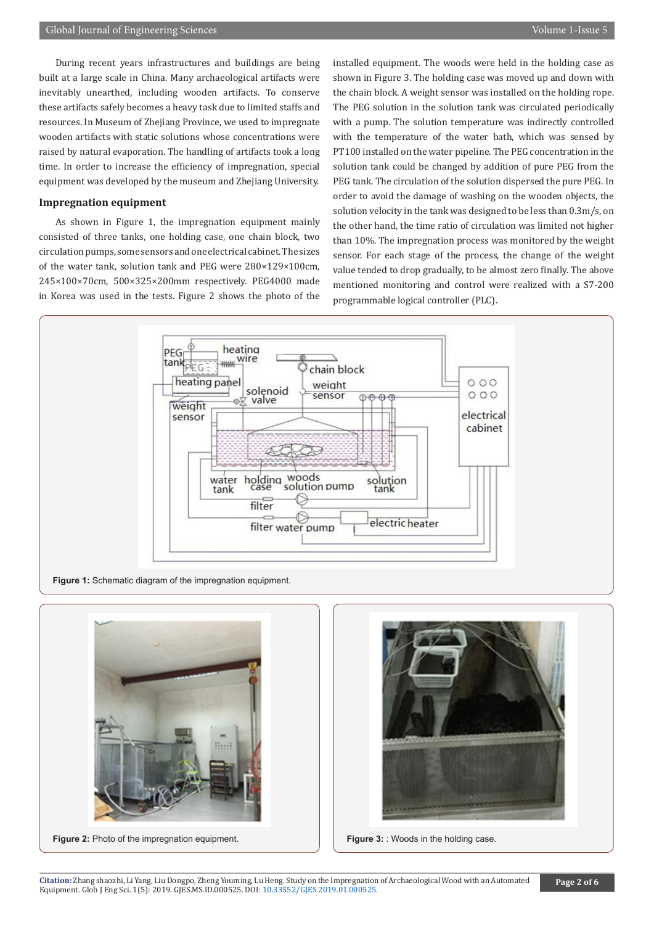During recent years infrastructures and buildings are being built at a large scale in China. Many archaeological artifacts were inevitably unearthed, including wooden artifacts. To conserve these artifacts safely becomes a heavy task due to limited staffs and resources. In Museum of Zhejiang Province, we used to impregnate wooden artifacts with static solutions whose concentrations were raised by natural evaporation. The handling of artifacts took a long time. In order to increase the efficiency of impregnation, special equipment was developed by the museum and Zhejiang University.

#### **Impregnation equipment**

As shown in Figure 1, the impregnation equipment mainly consisted of three tanks, one holding case, one chain block, two circulation pumps, some sensors and one electrical cabinet. The sizes of the water tank, solution tank and PEG were 280×129×100cm, 245×100×70cm, 500×325×200mm respectively. PEG4000 made in Korea was used in the tests. Figure 2 shows the photo of the

installed equipment. The woods were held in the holding case as shown in Figure 3. The holding case was moved up and down with the chain block. A weight sensor was installed on the holding rope. The PEG solution in the solution tank was circulated periodically with a pump. The solution temperature was indirectly controlled with the temperature of the water bath, which was sensed by PT100 installed on the water pipeline. The PEG concentration in the solution tank could be changed by addition of pure PEG from the PEG tank. The circulation of the solution dispersed the pure PEG. In order to avoid the damage of washing on the wooden objects, the solution velocity in the tank was designed to be less than 0.3m/s, on the other hand, the time ratio of circulation was limited not higher than 10%. The impregnation process was monitored by the weight sensor. For each stage of the process, the change of the weight value tended to drop gradually, to be almost zero finally. The above mentioned monitoring and control were realized with a S7-200 programmable logical controller (PLC).



Figure 1: Schematic diagram of the impregnation equipment.



**Figure 2:** Photo of the impregnation equipment. **Figure 3:** Woods in the holding case.

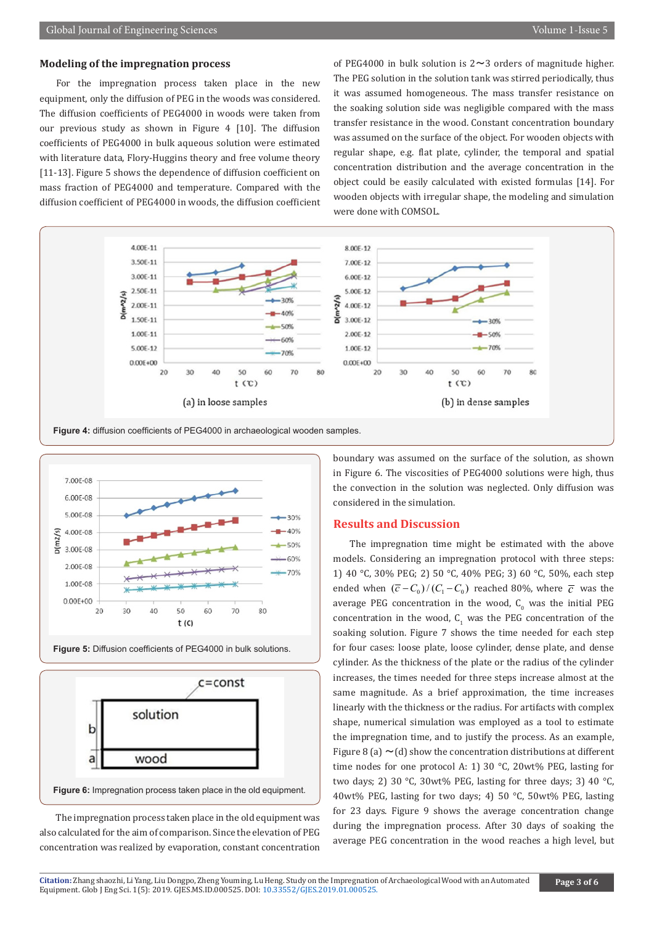#### **Modeling of the impregnation process**

For the impregnation process taken place in the new equipment, only the diffusion of PEG in the woods was considered. The diffusion coefficients of PEG4000 in woods were taken from our previous study as shown in Figure 4 [10]. The diffusion coefficients of PEG4000 in bulk aqueous solution were estimated with literature data, Flory-Huggins theory and free volume theory [11-13]. Figure 5 shows the dependence of diffusion coefficient on mass fraction of PEG4000 and temperature. Compared with the diffusion coefficient of PEG4000 in woods, the diffusion coefficient of PEG4000 in bulk solution is  $2 \sim 3$  orders of magnitude higher. The PEG solution in the solution tank was stirred periodically, thus it was assumed homogeneous. The mass transfer resistance on the soaking solution side was negligible compared with the mass transfer resistance in the wood. Constant concentration boundary was assumed on the surface of the object. For wooden objects with regular shape, e.g. flat plate, cylinder, the temporal and spatial concentration distribution and the average concentration in the object could be easily calculated with existed formulas [14]. For wooden objects with irregular shape, the modeling and simulation were done with COMSOL.



**Figure 4:** diffusion coefficients of PEG4000 in archaeological wooden samples.







The impregnation process taken place in the old equipment was also calculated for the aim of comparison. Since the elevation of PEG concentration was realized by evaporation, constant concentration boundary was assumed on the surface of the solution, as shown in Figure 6. The viscosities of PEG4000 solutions were high, thus the convection in the solution was neglected. Only diffusion was considered in the simulation.

#### **Results and Discussion**

The impregnation time might be estimated with the above models. Considering an impregnation protocol with three steps: 1) 40 °C, 30% PEG; 2) 50 °C, 40% PEG; 3) 60 °C, 50%, each step ended when  $(\overline{c} - C_0) / (C_1 - C_0)$  reached 80%, where  $\overline{c}$  was the average PEG concentration in the wood,  $C_0$  was the initial PEG concentration in the wood,  $C_1$  was the PEG concentration of the soaking solution. Figure 7 shows the time needed for each step for four cases: loose plate, loose cylinder, dense plate, and dense cylinder. As the thickness of the plate or the radius of the cylinder increases, the times needed for three steps increase almost at the same magnitude. As a brief approximation, the time increases linearly with the thickness or the radius. For artifacts with complex shape, numerical simulation was employed as a tool to estimate the impregnation time, and to justify the process. As an example, Figure 8 (a)  $\sim$  (d) show the concentration distributions at different time nodes for one protocol A: 1) 30 °C, 20wt% PEG, lasting for two days; 2) 30 °C, 30wt% PEG, lasting for three days; 3) 40 °C, 40wt% PEG, lasting for two days; 4) 50 °C, 50wt% PEG, lasting for 23 days. Figure 9 shows the average concentration change during the impregnation process. After 30 days of soaking the average PEG concentration in the wood reaches a high level, but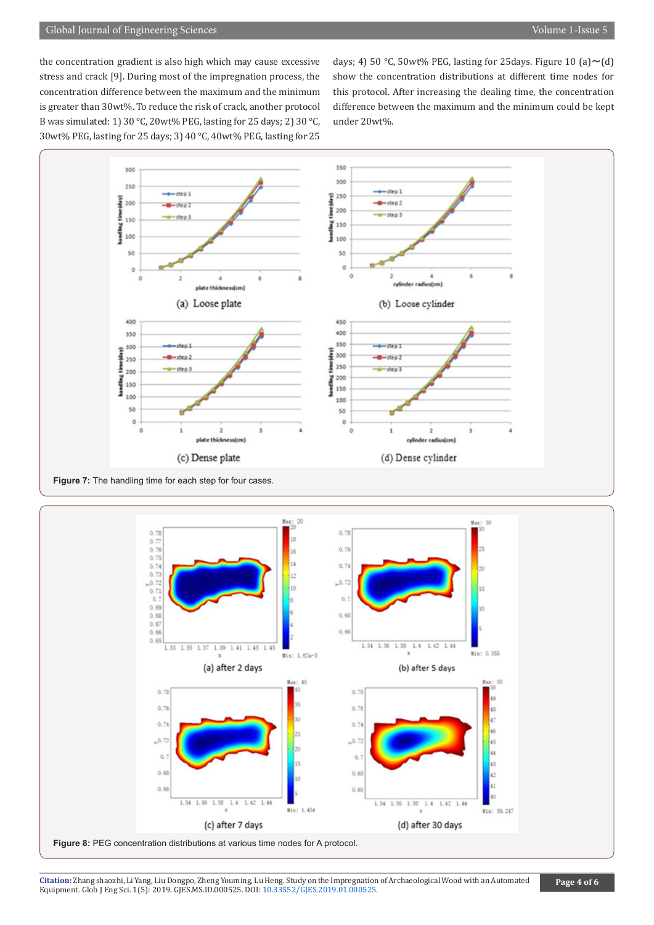the concentration gradient is also high which may cause excessive stress and crack [9]. During most of the impregnation process, the concentration difference between the maximum and the minimum is greater than 30wt%. To reduce the risk of crack, another protocol B was simulated: 1) 30 °C, 20wt% PEG, lasting for 25 days; 2) 30 °C, 30wt% PEG, lasting for 25 days; 3) 40 °C, 40wt% PEG, lasting for 25

days; 4) 50 °C, 50wt% PEG, lasting for 25 days. Figure 10 (a)  $\sim$  (d) show the concentration distributions at different time nodes for this protocol. After increasing the dealing time, the concentration difference between the maximum and the minimum could be kept under 20wt%.



**Figure 7:** The handling time for each step for four cases.



**Figure 8:** PEG concentration distributions at various time nodes for A protocol.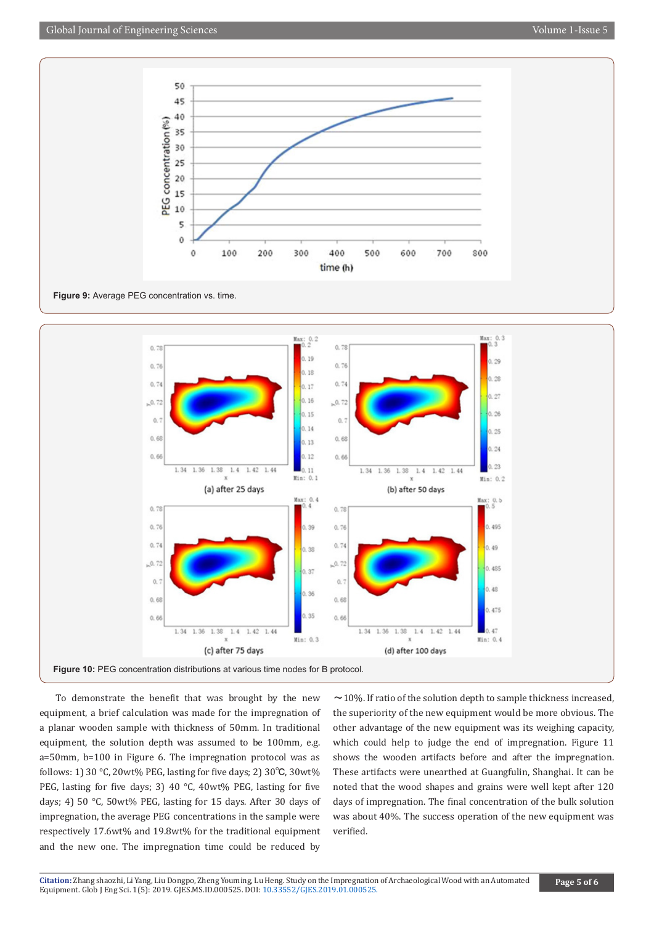

**Figure 9:** Average PEG concentration vs. time.



To demonstrate the benefit that was brought by the new equipment, a brief calculation was made for the impregnation of a planar wooden sample with thickness of 50mm. In traditional equipment, the solution depth was assumed to be 100mm, e.g. a=50mm, b=100 in Figure 6. The impregnation protocol was as follows: 1) 30 °C, 20wt% PEG, lasting for five days; 2) 30℃, 30wt% PEG, lasting for five days; 3) 40 °C, 40wt% PEG, lasting for five days; 4) 50 °C, 50wt% PEG, lasting for 15 days. After 30 days of impregnation, the average PEG concentrations in the sample were respectively 17.6wt% and 19.8wt% for the traditional equipment and the new one. The impregnation time could be reduced by

 $\sim$  10%. If ratio of the solution depth to sample thickness increased, the superiority of the new equipment would be more obvious. The other advantage of the new equipment was its weighing capacity, which could help to judge the end of impregnation. Figure 11 shows the wooden artifacts before and after the impregnation. These artifacts were unearthed at Guangfulin, Shanghai. It can be noted that the wood shapes and grains were well kept after 120 days of impregnation. The final concentration of the bulk solution was about 40%. The success operation of the new equipment was verified.